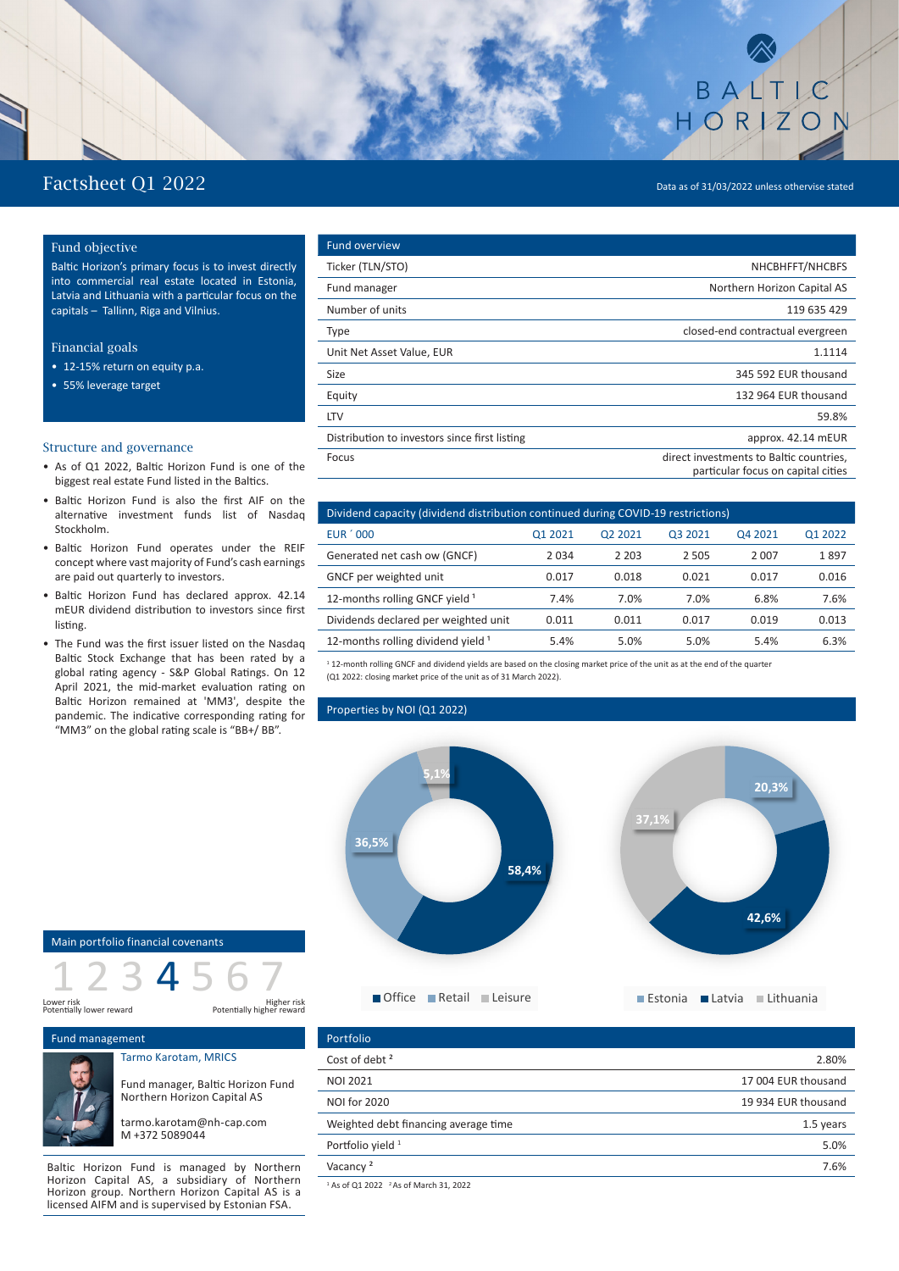# Factsheet Q1 2022 Data as of 31/03/2022 unless othervise stated

BALTIC

HORZON

## Fund objective

Baltic Horizon's primary focus is to invest directly into commercial real estate located in Estonia, Latvia and Lithuania with a particular focus on the capitals – Tallinn, Riga and Vilnius.

## Financial goals

- 12-15% return on equity p.a.
- 55% leverage target

## Structure and governance

- As of Q1 2022, Baltic Horizon Fund is one of the biggest real estate Fund listed in the Baltics.
- Baltic Horizon Fund is also the first AIF on the alternative investment funds list of Nasdaq Stockholm.
- Baltic Horizon Fund operates under the REIF concept where vast majority of Fund's cash earnings are paid out quarterly to investors.
- Baltic Horizon Fund has declared approx. 42.14 mEUR dividend distribution to investors since first listing.
- The Fund was the first issuer listed on the Nasdaq Baltic Stock Exchange that has been rated by a global rating agency - S&P Global Ratings. On 12 April 2021, the mid-market evaluation rating on Baltic Horizon remained at 'MM3', despite the pandemic. The indicative corresponding rating for "MM3" on the global rating scale is "BB+/ BB".

| <b>Fund overview</b>                          |                                                                               |
|-----------------------------------------------|-------------------------------------------------------------------------------|
| Ticker (TLN/STO)                              | NHCBHFFT/NHCBFS                                                               |
| Fund manager                                  | Northern Horizon Capital AS                                                   |
| Number of units                               | 119 635 429                                                                   |
| <b>Type</b>                                   | closed-end contractual evergreen                                              |
| Unit Net Asset Value, EUR                     | 1.1114                                                                        |
| Size                                          | 345 592 EUR thousand                                                          |
| Equity                                        | 132 964 EUR thousand                                                          |
| <b>LTV</b>                                    | 59.8%                                                                         |
| Distribution to investors since first listing | approx. 42.14 mEUR                                                            |
| Focus                                         | direct investments to Baltic countries,<br>particular focus on capital cities |

| Dividend capacity (dividend distribution continued during COVID-19 restrictions) |         |         |         |         |         |
|----------------------------------------------------------------------------------|---------|---------|---------|---------|---------|
| <b>EUR '000</b>                                                                  | Q1 2021 | 02 2021 | 03 2021 | 04 2021 | Q1 2022 |
| Generated net cash ow (GNCF)                                                     | 2034    | 2 2 0 3 | 2 5 0 5 | 2007    | 1897    |
| GNCF per weighted unit                                                           | 0.017   | 0.018   | 0.021   | 0.017   | 0.016   |
| 12-months rolling GNCF yield 1                                                   | 7.4%    | 7.0%    | 7.0%    | 6.8%    | 7.6%    |
| Dividends declared per weighted unit                                             | 0.011   | 0.011   | 0.017   | 0.019   | 0.013   |
| 12-months rolling dividend yield <sup>1</sup>                                    | 5.4%    | 5.0%    | 5.0%    | 5.4%    | 6.3%    |

1 12-month rolling GNCF and dividend yields are based on the closing market price of the unit as at the end of the quarter (Q1 2022: closing market price of the unit as of 31 March 2022).

## Properties by NOI (Q1 2022)

**5,1%**



Main portfolio financial covenants





Fund management

## Tarmo Karotam, MRICS



tarmo.karotam@nh-cap.com M +372 5089044

Baltic Horizon Fund is managed by Northern Horizon Capital AS, a subsidiary of Northern Horizon group. Northern Horizon Capital AS is a licensed AIFM and is supervised by Estonian FSA.

| Portfolio                            |                     |
|--------------------------------------|---------------------|
| Cost of debt <sup>2</sup>            | 2.80%               |
| <b>NOI 2021</b>                      | 17 004 EUR thousand |
| <b>NOI for 2020</b>                  | 19 934 EUR thousand |
| Weighted debt financing average time | 1.5 years           |
| Portfolio yield 1                    | 5.0%                |
| Vacancy <sup>2</sup>                 | 7.6%                |
|                                      |                     |

 $1$  As of Q1 2022  $2$  As of March 31, 2022